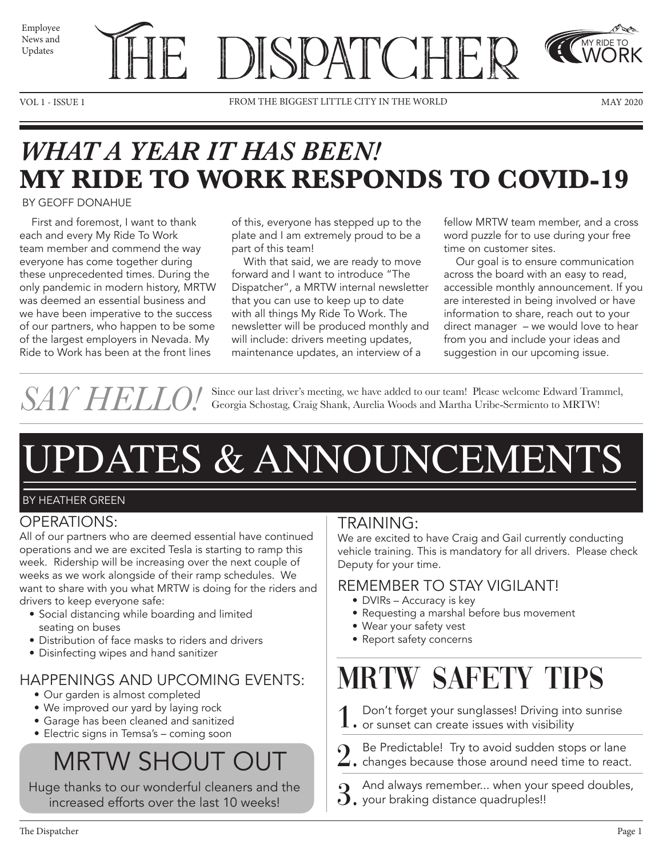News and Updates



VOL 1 - ISSUE 1 THE MORLD MAY 2020

MY RIDE TO WORK

## *WHAT A YEAR IT HAS BEEN!* **MY RIDE TO WORK RESPONDS TO COVID-19**

#### BY GEOFF DONAHUE

 First and foremost, I want to thank each and every My Ride To Work team member and commend the way everyone has come together during these unprecedented times. During the only pandemic in modern history, MRTW was deemed an essential business and we have been imperative to the success of our partners, who happen to be some of the largest employers in Nevada. My Ride to Work has been at the front lines

of this, everyone has stepped up to the plate and I am extremely proud to be a part of this team!

 With that said, we are ready to move forward and I want to introduce "The Dispatcher", a MRTW internal newsletter that you can use to keep up to date with all things My Ride To Work. The newsletter will be produced monthly and will include: drivers meeting updates, maintenance updates, an interview of a

fellow MRTW team member, and a cross word puzzle for to use during your free time on customer sites.

 Our goal is to ensure communication across the board with an easy to read, accessible monthly announcement. If you are interested in being involved or have information to share, reach out to your direct manager – we would love to hear from you and include your ideas and suggestion in our upcoming issue.

SAY HELLO! Since our last driver's meeting, we have added to our team! Please welcome Edward Trammel, Georgia Schostag, Craig Shank, Aurelia Woods and Martha Uribe-Sermiento to MRTW! Georgia Schostag, Craig Shank, Aurelia Woods and Martha Uribe-Sermiento to MRTW!

# UPDATES & ANNOUNCEMENTS

### BY HEATHER GREEN

### OPERATIONS:

All of our partners who are deemed essential have continued operations and we are excited Tesla is starting to ramp this week. Ridership will be increasing over the next couple of weeks as we work alongside of their ramp schedules. We want to share with you what MRTW is doing for the riders and drivers to keep everyone safe:

- Social distancing while boarding and limited seating on buses
- Distribution of face masks to riders and drivers
- Disinfecting wipes and hand sanitizer

### HAPPENINGS AND UPCOMING EVENTS: • Our garden is almost completed

- 
- We improved our yard by laying rock
- Garage has been cleaned and sanitized • Electric signs in Temsa's – coming soon

# MRTW SHOUT OUT

Huge thanks to our wonderful cleaners and the increased efforts over the last 10 weeks!

### TRAINING:

We are excited to have Craig and Gail currently conducting vehicle training. This is mandatory for all drivers. Please check Deputy for your time.

### REMEMBER TO STAY VIGILANT!

- DVIRs Accuracy is key
- Requesting a marshal before bus movement
- Wear your safety vest
- Report safety concerns

# MRTW SAFETY TIPS

- 1. Don't forget your sunglasses! Driving int<br>1. or sunset can create issues with visibility Don't forget your sunglasses! Driving into sunrise
- 
- 2. Be Predictable! Try to avoid sudden stops or lane<br>2. changes because those around need time to react changes because those around need time to react.
- And always remember... when your speed doubles,
- 3. And always remember... when your<br>3. your braking distance quadruples!!